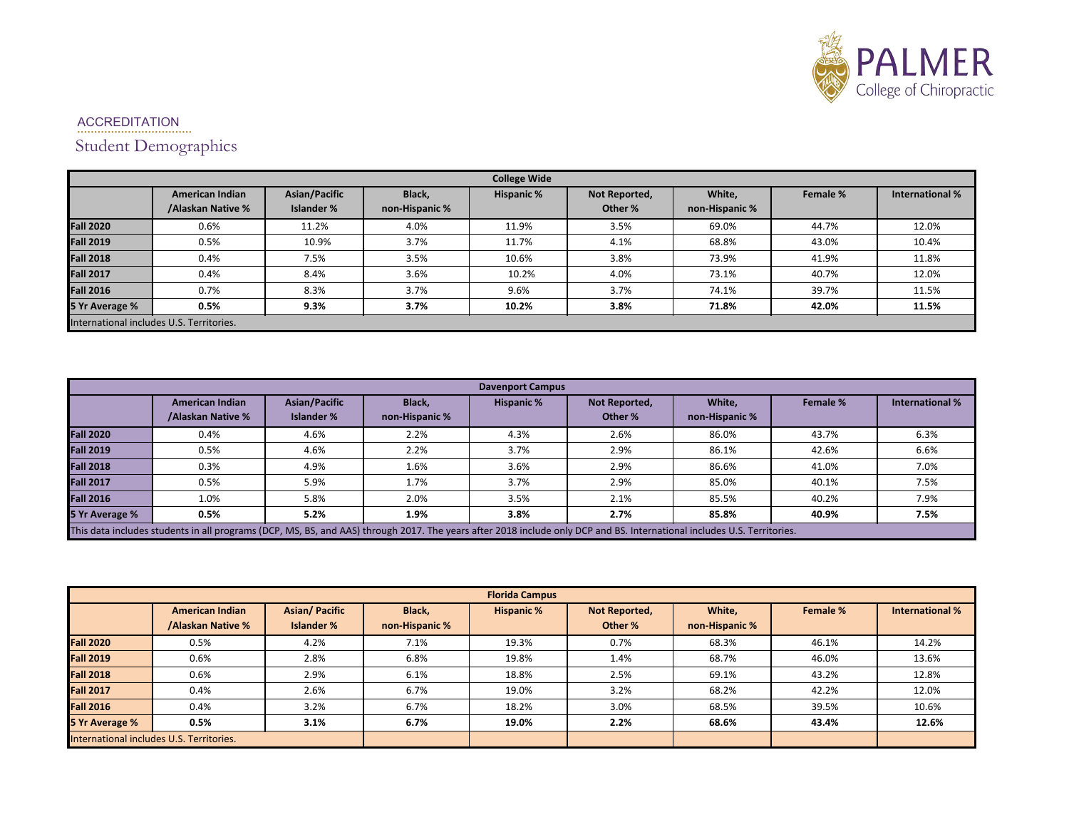

## ACCREDITATION .................................. Student Demographics

| <b>College Wide</b>                      |                                             |                                    |                          |                   |                          |                          |          |                        |  |
|------------------------------------------|---------------------------------------------|------------------------------------|--------------------------|-------------------|--------------------------|--------------------------|----------|------------------------|--|
|                                          | <b>American Indian</b><br>/Alaskan Native % | Asian/Pacific<br><b>Islander %</b> | Black,<br>non-Hispanic % | <b>Hispanic %</b> | Not Reported,<br>Other % | White,<br>non-Hispanic % | Female % | <b>International %</b> |  |
| <b>Fall 2020</b>                         | 0.6%                                        | 11.2%                              | 4.0%                     | 11.9%             | 3.5%                     | 69.0%                    | 44.7%    | 12.0%                  |  |
| <b>Fall 2019</b>                         | 0.5%                                        | 10.9%                              | 3.7%                     | 11.7%             | 4.1%                     | 68.8%                    | 43.0%    | 10.4%                  |  |
| <b>Fall 2018</b>                         | 0.4%                                        | 7.5%                               | 3.5%                     | 10.6%             | 3.8%                     | 73.9%                    | 41.9%    | 11.8%                  |  |
| <b>Fall 2017</b>                         | 0.4%                                        | 8.4%                               | 3.6%                     | 10.2%             | 4.0%                     | 73.1%                    | 40.7%    | 12.0%                  |  |
| <b>Fall 2016</b>                         | 0.7%                                        | 8.3%                               | 3.7%                     | 9.6%              | 3.7%                     | 74.1%                    | 39.7%    | 11.5%                  |  |
| 5 Yr Average %                           | 0.5%                                        | 9.3%                               | 3.7%                     | 10.2%             | 3.8%                     | 71.8%                    | 42.0%    | 11.5%                  |  |
| International includes U.S. Territories. |                                             |                                    |                          |                   |                          |                          |          |                        |  |

| <b>Davenport Campus</b>                                                                                                                                                 |                                             |                                           |                          |                   |                          |                          |          |                        |  |
|-------------------------------------------------------------------------------------------------------------------------------------------------------------------------|---------------------------------------------|-------------------------------------------|--------------------------|-------------------|--------------------------|--------------------------|----------|------------------------|--|
|                                                                                                                                                                         | <b>American Indian</b><br>/Alaskan Native % | <b>Asian/Pacific</b><br><b>Islander %</b> | Black,<br>non-Hispanic % | <b>Hispanic %</b> | Not Reported,<br>Other % | White.<br>non-Hispanic % | Female % | <b>International %</b> |  |
| <b>Fall 2020</b>                                                                                                                                                        | 0.4%                                        | 4.6%                                      | 2.2%                     | 4.3%              | 2.6%                     | 86.0%                    | 43.7%    | 6.3%                   |  |
| <b>Fall 2019</b>                                                                                                                                                        | 0.5%                                        | 4.6%                                      | 2.2%                     | 3.7%              | 2.9%                     | 86.1%                    | 42.6%    | 6.6%                   |  |
| <b>Fall 2018</b>                                                                                                                                                        | 0.3%                                        | 4.9%                                      | 1.6%                     | 3.6%              | 2.9%                     | 86.6%                    | 41.0%    | 7.0%                   |  |
| <b>Fall 2017</b>                                                                                                                                                        | 0.5%                                        | 5.9%                                      | 1.7%                     | 3.7%              | 2.9%                     | 85.0%                    | 40.1%    | 7.5%                   |  |
| <b>Fall 2016</b>                                                                                                                                                        | 1.0%                                        | 5.8%                                      | 2.0%                     | 3.5%              | 2.1%                     | 85.5%                    | 40.2%    | 7.9%                   |  |
| 5 Yr Average %                                                                                                                                                          | 0.5%                                        | 5.2%                                      | 1.9%                     | 3.8%              | 2.7%                     | 85.8%                    | 40.9%    | 7.5%                   |  |
| This data includes students in all programs (DCP, MS, BS, and AAS) through 2017. The years after 2018 include only DCP and BS. International includes U.S. Territories. |                                             |                                           |                          |                   |                          |                          |          |                        |  |

| <b>Florida Campus</b>                    |                                             |                                           |                          |                   |                          |                          |          |                        |  |
|------------------------------------------|---------------------------------------------|-------------------------------------------|--------------------------|-------------------|--------------------------|--------------------------|----------|------------------------|--|
|                                          | <b>American Indian</b><br>/Alaskan Native % | <b>Asian/Pacific</b><br><b>Islander %</b> | Black,<br>non-Hispanic % | <b>Hispanic %</b> | Not Reported,<br>Other % | White,<br>non-Hispanic % | Female % | <b>International %</b> |  |
|                                          |                                             |                                           |                          |                   |                          |                          |          |                        |  |
| <b>Fall 2020</b>                         | 0.5%                                        | 4.2%                                      | 7.1%                     | 19.3%             | 0.7%                     | 68.3%                    | 46.1%    | 14.2%                  |  |
| <b>Fall 2019</b>                         | 0.6%                                        | 2.8%                                      | 6.8%                     | 19.8%             | 1.4%                     | 68.7%                    | 46.0%    | 13.6%                  |  |
| <b>Fall 2018</b>                         | 0.6%                                        | 2.9%                                      | 6.1%                     | 18.8%             | 2.5%                     | 69.1%                    | 43.2%    | 12.8%                  |  |
| <b>Fall 2017</b>                         | 0.4%                                        | 2.6%                                      | 6.7%                     | 19.0%             | 3.2%                     | 68.2%                    | 42.2%    | 12.0%                  |  |
| <b>Fall 2016</b>                         | 0.4%                                        | 3.2%                                      | 6.7%                     | 18.2%             | 3.0%                     | 68.5%                    | 39.5%    | 10.6%                  |  |
| 5 Yr Average %                           | 0.5%                                        | 3.1%                                      | 6.7%                     | 19.0%             | 2.2%                     | 68.6%                    | 43.4%    | 12.6%                  |  |
| International includes U.S. Territories. |                                             |                                           |                          |                   |                          |                          |          |                        |  |